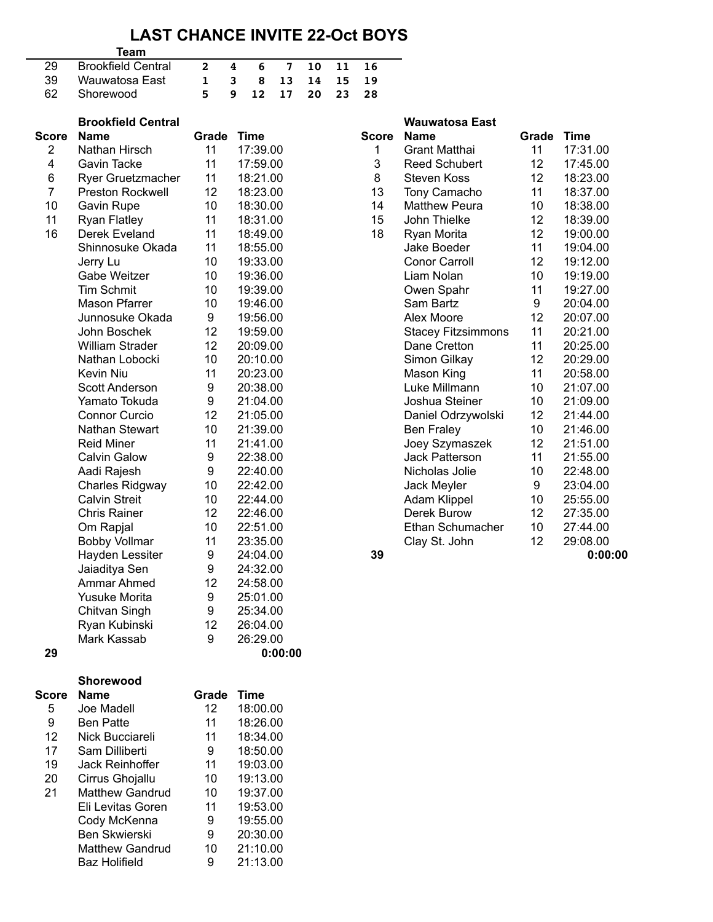## **LAST CHANCE INVITE 22-Oct BOYS**

## **Team**

| 29 Brookfield Central |  |  | 2 4 6 7 10 11 16   |  |
|-----------------------|--|--|--------------------|--|
| 39 Wauwatosa East     |  |  | 1 3 8 13 14 15 19  |  |
| 62 Shorewood          |  |  | 5 9 12 17 20 23 28 |  |

|                | <b>Brookfield Central</b> |                  |             |              | <b>Wauwatosa East</b>     |       |             |
|----------------|---------------------------|------------------|-------------|--------------|---------------------------|-------|-------------|
| <b>Score</b>   | <b>Name</b>               | Grade            | <b>Time</b> | <b>Score</b> | <b>Name</b>               | Grade | <b>Time</b> |
| $\overline{2}$ | Nathan Hirsch             | 11               | 17:39.00    | 1            | <b>Grant Matthai</b>      | 11    | 17:31.00    |
| 4              | Gavin Tacke               | 11               | 17:59.00    | 3            | <b>Reed Schubert</b>      | 12    | 17:45.00    |
| 6              | <b>Ryer Gruetzmacher</b>  | 11               | 18:21.00    | 8            | <b>Steven Koss</b>        | 12    | 18:23.00    |
| $\overline{7}$ | <b>Preston Rockwell</b>   | 12               | 18:23.00    | 13           | Tony Camacho              | 11    | 18:37.00    |
| 10             | <b>Gavin Rupe</b>         | 10               | 18:30.00    | 14           | <b>Matthew Peura</b>      | 10    | 18:38.00    |
| 11             | <b>Ryan Flatley</b>       | 11               | 18:31.00    | 15           | John Thielke              | 12    | 18:39.00    |
| 16             | Derek Eveland             | 11               | 18:49.00    | 18           | Ryan Morita               | 12    | 19:00.00    |
|                | Shinnosuke Okada          | 11               | 18:55.00    |              | Jake Boeder               | 11    | 19:04.00    |
|                | Jerry Lu                  | 10               | 19:33.00    |              | <b>Conor Carroll</b>      | 12    | 19:12.00    |
|                | Gabe Weitzer              | 10               | 19:36.00    |              | Liam Nolan                | 10    | 19:19.00    |
|                | <b>Tim Schmit</b>         | 10               | 19:39.00    |              | Owen Spahr                | 11    | 19:27.00    |
|                | <b>Mason Pfarrer</b>      | 10               | 19:46.00    |              | Sam Bartz                 | 9     | 20:04.00    |
|                | Junnosuke Okada           | $\boldsymbol{9}$ | 19:56.00    |              | Alex Moore                | 12    | 20:07.00    |
|                | John Boschek              | 12               | 19:59.00    |              | <b>Stacey Fitzsimmons</b> | 11    | 20:21.00    |
|                | <b>William Strader</b>    | 12               | 20:09.00    |              | Dane Cretton              | 11    | 20:25.00    |
|                | Nathan Lobocki            | 10               | 20:10.00    |              | Simon Gilkay              | 12    | 20:29.00    |
|                | Kevin Niu                 | 11               | 20:23.00    |              | Mason King                | 11    | 20:58.00    |
|                | <b>Scott Anderson</b>     | $\boldsymbol{9}$ | 20:38.00    |              | Luke Millmann             | 10    | 21:07.00    |
|                | Yamato Tokuda             | $\boldsymbol{9}$ | 21:04.00    |              | Joshua Steiner            | 10    | 21:09.00    |
|                | <b>Connor Curcio</b>      | 12               | 21:05.00    |              | Daniel Odrzywolski        | 12    | 21:44.00    |
|                | Nathan Stewart            | 10               | 21:39.00    |              | <b>Ben Fraley</b>         | 10    | 21:46.00    |
|                | <b>Reid Miner</b>         | 11               | 21:41.00    |              | Joey Szymaszek            | 12    | 21:51.00    |
|                | <b>Calvin Galow</b>       | $\boldsymbol{9}$ | 22:38.00    |              | <b>Jack Patterson</b>     | 11    | 21:55.00    |
|                | Aadi Rajesh               | $\boldsymbol{9}$ | 22:40.00    |              | Nicholas Jolie            | 10    | 22:48.00    |
|                | <b>Charles Ridgway</b>    | 10               | 22:42.00    |              | Jack Meyler               | 9     | 23:04.00    |
|                | <b>Calvin Streit</b>      | 10               | 22:44.00    |              | Adam Klippel              | 10    | 25:55.00    |
|                | <b>Chris Rainer</b>       | 12               | 22:46.00    |              | Derek Burow               | 12    | 27:35.00    |
|                | Om Rapjal                 | 10               | 22:51.00    |              | Ethan Schumacher          | 10    | 27:44.00    |
|                | <b>Bobby Vollmar</b>      | 11               | 23:35.00    |              | Clay St. John             | 12    | 29:08.00    |
|                | Hayden Lessiter           | $\boldsymbol{9}$ | 24:04.00    | 39           |                           |       | 0:00:00     |
|                | Jaiaditya Sen             | $\boldsymbol{9}$ | 24:32.00    |              |                           |       |             |
|                | Ammar Ahmed               | 12               | 24:58.00    |              |                           |       |             |
|                | <b>Yusuke Morita</b>      | $\boldsymbol{9}$ | 25:01.00    |              |                           |       |             |
|                | Chitvan Singh             | 9                | 25:34.00    |              |                           |       |             |
|                | Ryan Kubinski             | 12               | 26:04.00    |              |                           |       |             |
|                | Mark Kassab               | 9                | 26:29.00    |              |                           |       |             |
| 29             |                           |                  | 0:00:00     |              |                           |       |             |

| DI UUNIIBIU UBIILIAI |       |          |              | vvauwalosa ⊏asl           |       |             |
|----------------------|-------|----------|--------------|---------------------------|-------|-------------|
| Name                 | Grade | Time     | <b>Score</b> | Name                      | Grade | <b>Time</b> |
| Nathan Hirsch        | 11    | 17:39.00 | 1            | <b>Grant Matthai</b>      | 11    | 17:31.00    |
| Gavin Tacke          | 11    | 17:59.00 | 3            | <b>Reed Schubert</b>      | 12    | 17:45.00    |
| Ryer Gruetzmacher    | 11    | 18:21.00 | 8            | <b>Steven Koss</b>        | 12    | 18:23.00    |
| Preston Rockwell     | 12    | 18:23.00 | 13           | Tony Camacho              | 11    | 18:37.00    |
| Gavin Rupe           | 10    | 18:30.00 | 14           | <b>Matthew Peura</b>      | 10    | 18:38.00    |
| Ryan Flatley         | 11    | 18:31.00 | 15           | John Thielke              | 12    | 18:39.00    |
| Derek Eveland        | 11    | 18:49.00 | 18           | Ryan Morita               | 12    | 19:00.00    |
| Shinnosuke Okada     | 11    | 18:55.00 |              | Jake Boeder               | 11    | 19:04.00    |
| Jerry Lu             | 10    | 19:33.00 |              | <b>Conor Carroll</b>      | 12    | 19:12.00    |
| Gabe Weitzer         | 10    | 19:36.00 |              | Liam Nolan                | 10    | 19:19.00    |
| Tim Schmit           | 10    | 19:39.00 |              | Owen Spahr                | 11    | 19:27.00    |
| Mason Pfarrer        | 10    | 19:46.00 |              | Sam Bartz                 | 9     | 20:04.00    |
| Junnosuke Okada      | 9     | 19:56.00 |              | Alex Moore                | 12    | 20:07.00    |
| John Boschek         | 12    | 19:59.00 |              | <b>Stacey Fitzsimmons</b> | 11    | 20:21.00    |
| William Strader      | 12    | 20:09.00 |              | Dane Cretton              | 11    | 20:25.00    |
| Nathan Lobocki       | 10    | 20:10.00 |              | Simon Gilkay              | 12    | 20:29.00    |
| Kevin Niu            | 11    | 20:23.00 |              | Mason King                | 11    | 20:58.00    |
| Scott Anderson       | 9     | 20:38.00 |              | Luke Millmann             | 10    | 21:07.00    |
| Yamato Tokuda        | 9     | 21:04.00 |              | Joshua Steiner            | 10    | 21:09.00    |
| Connor Curcio        | 12    | 21:05.00 |              | Daniel Odrzywolski        | 12    | 21:44.00    |
| Nathan Stewart       | 10    | 21:39.00 |              | <b>Ben Fraley</b>         | 10    | 21:46.00    |
| Reid Miner           | 11    | 21:41.00 |              | Joey Szymaszek            | 12    | 21:51.00    |
| Calvin Galow         | 9     | 22:38.00 |              | <b>Jack Patterson</b>     | 11    | 21:55.00    |
| Aadi Rajesh          | 9     | 22:40.00 |              | Nicholas Jolie            | 10    | 22:48.00    |
| Charles Ridgway      | 10    | 22:42.00 |              | Jack Meyler               | 9     | 23:04.00    |
| Calvin Streit        | 10    | 22:44.00 |              | Adam Klippel              | 10    | 25:55.00    |
| Chris Rainer         | 12    | 22:46.00 |              | Derek Burow               | 12    | 27:35.00    |
| Om Rapjal            | 10    | 22:51.00 |              | Ethan Schumacher          | 10    | 27:44.00    |
| <b>Bobby Vollmar</b> | 11    | 23:35.00 |              | Clay St. John             | 12    | 29:08.00    |
| Havdan I accitar     | a     | 24:04.00 | ۹۵.          |                           |       | ∩∙∩ח∙ח      |

|       | Shorewood              |       |             |
|-------|------------------------|-------|-------------|
| Score | <b>Name</b>            | Grade | <b>Time</b> |
| 5     | Joe Madell             | 12    | 18:00.00    |
| 9     | <b>Ben Patte</b>       | 11    | 18:26.00    |
| 12    | Nick Bucciareli        | 11    | 18:34.00    |
| 17    | Sam Dilliberti         | 9     | 18:50.00    |
| 19    | Jack Reinhoffer        | 11    | 19:03.00    |
| 20    | Cirrus Ghojallu        | 10    | 19:13.00    |
| 21    | <b>Matthew Gandrud</b> | 10    | 19:37.00    |
|       | Eli Levitas Goren      | 11    | 19:53.00    |
|       | Cody McKenna           | 9     | 19:55.00    |
|       | <b>Ben Skwierski</b>   | 9     | 20:30.00    |
|       | <b>Matthew Gandrud</b> | 10    | 21:10.00    |
|       | Baz Holifield          | 9     | 21:13.00    |